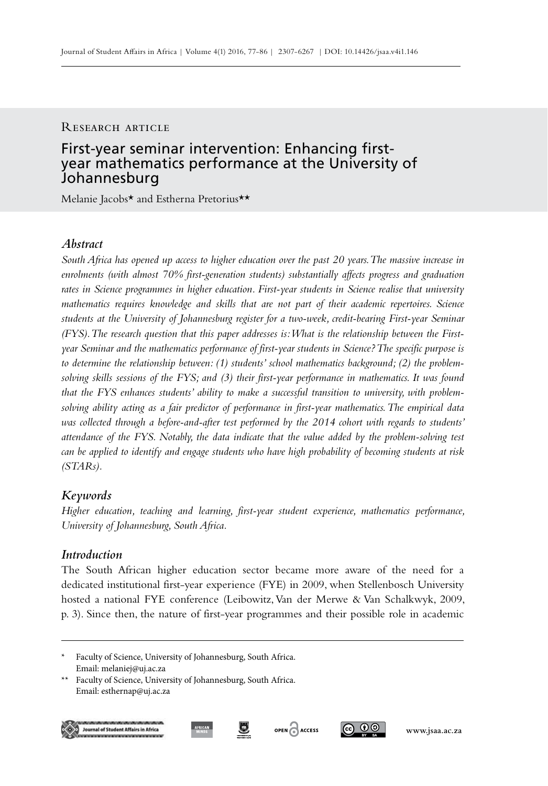#### RESEARCH ARTICLE

# First-year seminar intervention: Enhancing firstyear mathematics performance at the University of Johannesburg

Melanie Jacobs\* and Estherna Pretorius\*\*

## *Abstract*

*South Africa has opened up access to higher education over the past 20 years. The massive increase in enrolments (with almost 70% first-generation students) substantially affects progress and graduation rates in Science programmes in higher education. First-year students in Science realise that university mathematics requires knowledge and skills that are not part of their academic repertoires. Science students at the University of Johannesburg register for a two-week, credit-bearing First-year Seminar (FYS). The research question that this paper addresses is: What is the relationship between the Firstyear Seminar and the mathematics performance of first-year students in Science? The specific purpose is to determine the relationship between: (1) students' school mathematics background; (2) the problemsolving skills sessions of the FYS; and (3) their first-year performance in mathematics. It was found that the FYS enhances students' ability to make a successful transition to university, with problemsolving ability acting as a fair predictor of performance in first-year mathematics. The empirical data was collected through a before-and-after test performed by the 2014 cohort with regards to students' attendance of the FYS. Notably, the data indicate that the value added by the problem-solving test can be applied to identify and engage students who have high probability of becoming students at risk (STARs).*

## *Keywords*

*Higher education, teaching and learning, first-year student experience, mathematics performance, University of Johannesburg, South Africa.*

## *Introduction*

The South African higher education sector became more aware of the need for a dedicated institutional first-year experience (FYE) in 2009, when Stellenbosch University hosted a national FYE conference (Leibowitz, Van der Merwe & Van Schalkwyk, 2009, p. 3). Since then, the nature of first-year programmes and their possible role in academic

<sup>\*\*</sup> Faculty of Science, University of Johannesburg, South Africa. Email: esthernap@uj.ac.za







Faculty of Science, University of Johannesburg, South Africa. Email: melaniej@uj.ac.za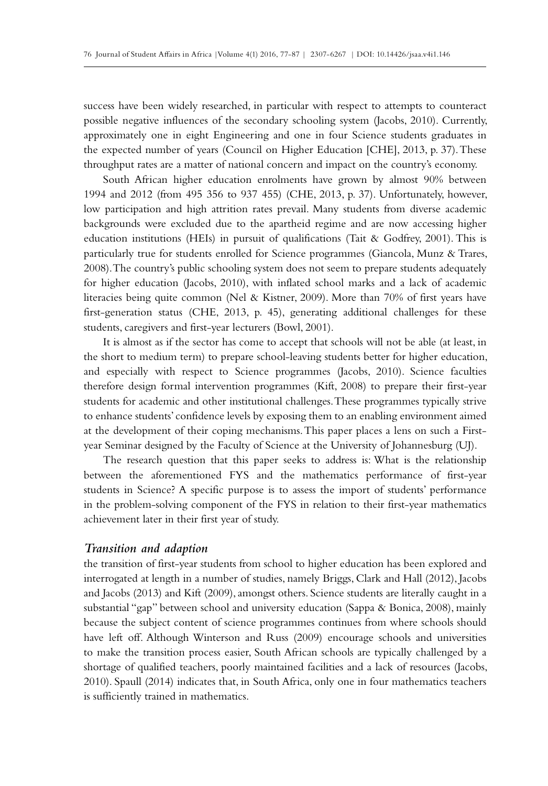success have been widely researched, in particular with respect to attempts to counteract possible negative influences of the secondary schooling system (Jacobs, 2010). Currently, approximately one in eight Engineering and one in four Science students graduates in the expected number of years (Council on Higher Education [CHE], 2013, p. 37). These throughput rates are a matter of national concern and impact on the country's economy.

South African higher education enrolments have grown by almost 90% between 1994 and 2012 (from 495 356 to 937 455) (CHE, 2013, p. 37). Unfortunately, however, low participation and high attrition rates prevail. Many students from diverse academic backgrounds were excluded due to the apartheid regime and are now accessing higher education institutions (HEIs) in pursuit of qualifications (Tait & Godfrey, 2001). This is particularly true for students enrolled for Science programmes (Giancola, Munz & Trares, 2008). The country's public schooling system does not seem to prepare students adequately for higher education (Jacobs, 2010), with inflated school marks and a lack of academic literacies being quite common (Nel & Kistner, 2009). More than 70% of first years have first-generation status (CHE, 2013, p. 45), generating additional challenges for these students, caregivers and first-year lecturers (Bowl, 2001).

It is almost as if the sector has come to accept that schools will not be able (at least, in the short to medium term) to prepare school-leaving students better for higher education, and especially with respect to Science programmes (Jacobs, 2010). Science faculties therefore design formal intervention programmes (Kift, 2008) to prepare their first-year students for academic and other institutional challenges. These programmes typically strive to enhance students' confidence levels by exposing them to an enabling environment aimed at the development of their coping mechanisms. This paper places a lens on such a Firstyear Seminar designed by the Faculty of Science at the University of Johannesburg (UJ).

The research question that this paper seeks to address is: What is the relationship between the aforementioned FYS and the mathematics performance of first-year students in Science? A specific purpose is to assess the import of students' performance in the problem-solving component of the FYS in relation to their first-year mathematics achievement later in their first year of study.

## *Transition and adaption*

the transition of first-year students from school to higher education has been explored and interrogated at length in a number of studies, namely Briggs, Clark and Hall (2012), Jacobs and Jacobs (2013) and Kift (2009), amongst others. Science students are literally caught in a substantial "gap" between school and university education (Sappa & Bonica, 2008), mainly because the subject content of science programmes continues from where schools should have left off. Although Winterson and Russ (2009) encourage schools and universities to make the transition process easier, South African schools are typically challenged by a shortage of qualified teachers, poorly maintained facilities and a lack of resources (Jacobs, 2010). Spaull (2014) indicates that, in South Africa, only one in four mathematics teachers is sufficiently trained in mathematics.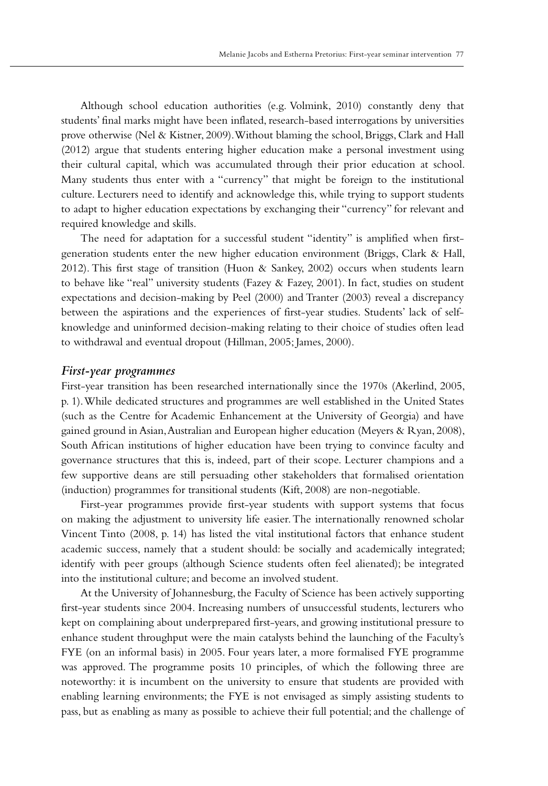Although school education authorities (e.g. Volmink, 2010) constantly deny that students' final marks might have been inflated, research-based interrogations by universities prove otherwise (Nel & Kistner, 2009). Without blaming the school, Briggs, Clark and Hall (2012) argue that students entering higher education make a personal investment using their cultural capital, which was accumulated through their prior education at school. Many students thus enter with a "currency" that might be foreign to the institutional culture. Lecturers need to identify and acknowledge this, while trying to support students to adapt to higher education expectations by exchanging their "currency" for relevant and required knowledge and skills.

The need for adaptation for a successful student "identity" is amplified when firstgeneration students enter the new higher education environment (Briggs, Clark & Hall, 2012). This first stage of transition (Huon & Sankey, 2002) occurs when students learn to behave like "real" university students (Fazey & Fazey, 2001). In fact, studies on student expectations and decision-making by Peel (2000) and Tranter (2003) reveal a discrepancy between the aspirations and the experiences of first-year studies. Students' lack of selfknowledge and uninformed decision-making relating to their choice of studies often lead to withdrawal and eventual dropout (Hillman, 2005; James, 2000).

### *First-year programmes*

First-year transition has been researched internationally since the 1970s (Akerlind, 2005, p. 1). While dedicated structures and programmes are well established in the United States (such as the Centre for Academic Enhancement at the University of Georgia) and have gained ground in Asian, Australian and European higher education (Meyers & Ryan, 2008), South African institutions of higher education have been trying to convince faculty and governance structures that this is, indeed, part of their scope. Lecturer champions and a few supportive deans are still persuading other stakeholders that formalised orientation (induction) programmes for transitional students (Kift, 2008) are non-negotiable.

First-year programmes provide first-year students with support systems that focus on making the adjustment to university life easier. The internationally renowned scholar Vincent Tinto (2008, p. 14) has listed the vital institutional factors that enhance student academic success, namely that a student should: be socially and academically integrated; identify with peer groups (although Science students often feel alienated); be integrated into the institutional culture; and become an involved student.

At the University of Johannesburg, the Faculty of Science has been actively supporting first-year students since 2004. Increasing numbers of unsuccessful students, lecturers who kept on complaining about underprepared first-years, and growing institutional pressure to enhance student throughput were the main catalysts behind the launching of the Faculty's FYE (on an informal basis) in 2005. Four years later, a more formalised FYE programme was approved. The programme posits 10 principles, of which the following three are noteworthy: it is incumbent on the university to ensure that students are provided with enabling learning environments; the FYE is not envisaged as simply assisting students to pass, but as enabling as many as possible to achieve their full potential; and the challenge of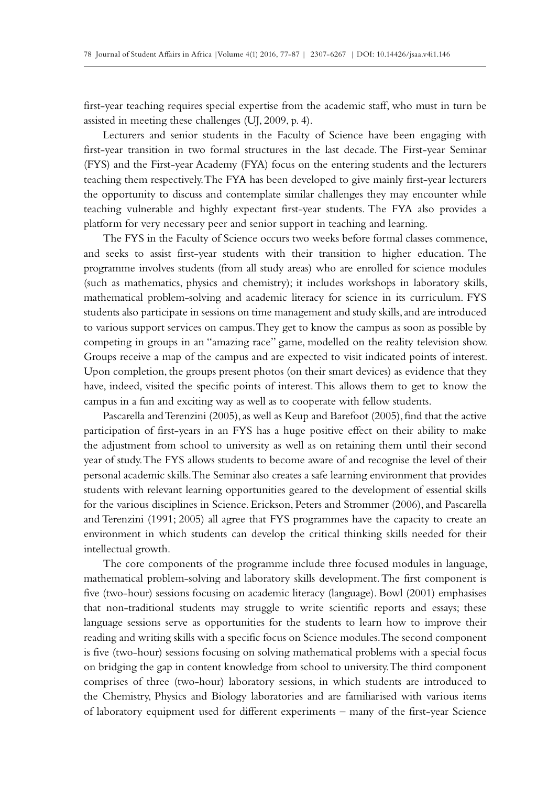first-year teaching requires special expertise from the academic staff, who must in turn be assisted in meeting these challenges (UJ, 2009, p. 4).

Lecturers and senior students in the Faculty of Science have been engaging with first-year transition in two formal structures in the last decade. The First-year Seminar (FYS) and the First-year Academy (FYA) focus on the entering students and the lecturers teaching them respectively. The FYA has been developed to give mainly first-year lecturers the opportunity to discuss and contemplate similar challenges they may encounter while teaching vulnerable and highly expectant first-year students. The FYA also provides a platform for very necessary peer and senior support in teaching and learning.

The FYS in the Faculty of Science occurs two weeks before formal classes commence, and seeks to assist first-year students with their transition to higher education. The programme involves students (from all study areas) who are enrolled for science modules (such as mathematics, physics and chemistry); it includes workshops in laboratory skills, mathematical problem-solving and academic literacy for science in its curriculum. FYS students also participate in sessions on time management and study skills, and are introduced to various support services on campus. They get to know the campus as soon as possible by competing in groups in an "amazing race" game, modelled on the reality television show. Groups receive a map of the campus and are expected to visit indicated points of interest. Upon completion, the groups present photos (on their smart devices) as evidence that they have, indeed, visited the specific points of interest. This allows them to get to know the campus in a fun and exciting way as well as to cooperate with fellow students.

Pascarella and Terenzini (2005), as well as Keup and Barefoot (2005), find that the active participation of first-years in an FYS has a huge positive effect on their ability to make the adjustment from school to university as well as on retaining them until their second year of study. The FYS allows students to become aware of and recognise the level of their personal academic skills. The Seminar also creates a safe learning environment that provides students with relevant learning opportunities geared to the development of essential skills for the various disciplines in Science. Erickson, Peters and Strommer (2006), and Pascarella and Terenzini (1991; 2005) all agree that FYS programmes have the capacity to create an environment in which students can develop the critical thinking skills needed for their intellectual growth.

The core components of the programme include three focused modules in language, mathematical problem-solving and laboratory skills development. The first component is five (two-hour) sessions focusing on academic literacy (language). Bowl (2001) emphasises that non-traditional students may struggle to write scientific reports and essays; these language sessions serve as opportunities for the students to learn how to improve their reading and writing skills with a specific focus on Science modules. The second component is five (two-hour) sessions focusing on solving mathematical problems with a special focus on bridging the gap in content knowledge from school to university. The third component comprises of three (two-hour) laboratory sessions, in which students are introduced to the Chemistry, Physics and Biology laboratories and are familiarised with various items of laboratory equipment used for different experiments – many of the first-year Science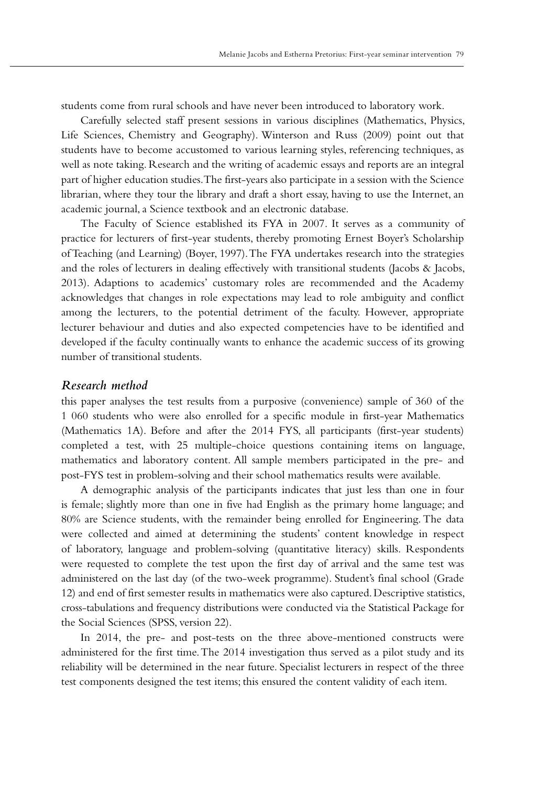students come from rural schools and have never been introduced to laboratory work.

Carefully selected staff present sessions in various disciplines (Mathematics, Physics, Life Sciences, Chemistry and Geography). Winterson and Russ (2009) point out that students have to become accustomed to various learning styles, referencing techniques, as well as note taking. Research and the writing of academic essays and reports are an integral part of higher education studies. The first-years also participate in a session with the Science librarian, where they tour the library and draft a short essay, having to use the Internet, an academic journal, a Science textbook and an electronic database.

The Faculty of Science established its FYA in 2007. It serves as a community of practice for lecturers of first-year students, thereby promoting Ernest Boyer's Scholarship of Teaching (and Learning) (Boyer, 1997). The FYA undertakes research into the strategies and the roles of lecturers in dealing effectively with transitional students (Jacobs & Jacobs, 2013). Adaptions to academics' customary roles are recommended and the Academy acknowledges that changes in role expectations may lead to role ambiguity and conflict among the lecturers, to the potential detriment of the faculty. However, appropriate lecturer behaviour and duties and also expected competencies have to be identified and developed if the faculty continually wants to enhance the academic success of its growing number of transitional students.

## *Research method*

this paper analyses the test results from a purposive (convenience) sample of 360 of the 1 060 students who were also enrolled for a specific module in first-year Mathematics (Mathematics 1A). Before and after the 2014 FYS, all participants (first-year students) completed a test, with 25 multiple-choice questions containing items on language, mathematics and laboratory content. All sample members participated in the pre- and post-FYS test in problem-solving and their school mathematics results were available.

A demographic analysis of the participants indicates that just less than one in four is female; slightly more than one in five had English as the primary home language; and 80% are Science students, with the remainder being enrolled for Engineering. The data were collected and aimed at determining the students' content knowledge in respect of laboratory, language and problem-solving (quantitative literacy) skills. Respondents were requested to complete the test upon the first day of arrival and the same test was administered on the last day (of the two-week programme). Student's final school (Grade 12) and end of first semester results in mathematics were also captured. Descriptive statistics, cross-tabulations and frequency distributions were conducted via the Statistical Package for the Social Sciences (SPSS, version 22).

In 2014, the pre- and post-tests on the three above-mentioned constructs were administered for the first time. The 2014 investigation thus served as a pilot study and its reliability will be determined in the near future. Specialist lecturers in respect of the three test components designed the test items; this ensured the content validity of each item.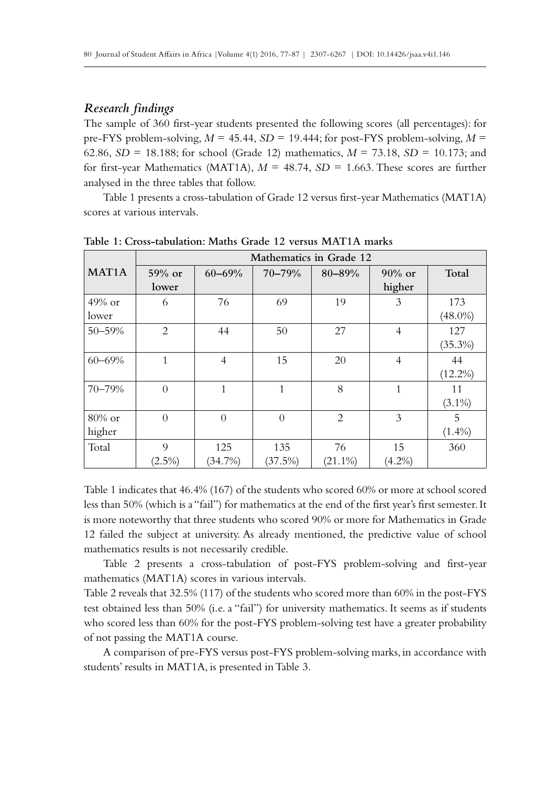## *Research findings*

The sample of 360 first-year students presented the following scores (all percentages): for pre-FYS problem-solving,  $M = 45.44$ ,  $SD = 19.444$ ; for post-FYS problem-solving,  $M =$ 62.86, *SD* = 18.188; for school (Grade 12) mathematics, *M* = 73.18, *SD* = 10.173; and for first-year Mathematics (MAT1A),  $M = 48.74$ ,  $SD = 1.663$ . These scores are further analysed in the three tables that follow.

Table 1 presents a cross-tabulation of Grade 12 versus first-year Mathematics (MAT1A) scores at various intervals.

|                    | Mathematics in Grade 12 |                |          |            |                |            |  |  |
|--------------------|-------------------------|----------------|----------|------------|----------------|------------|--|--|
| MAT <sub>1</sub> A | $59\%$ or               | $60 - 69\%$    | 70-79%   | 80-89%     | $90\%$ or      | Total      |  |  |
|                    | lower                   |                |          |            | higher         |            |  |  |
| $49\%$ or          | 6                       | 76             | 69       | 19         | 3              | 173        |  |  |
| lower              |                         |                |          |            |                | $(48.0\%)$ |  |  |
| $50 - 59%$         | $\overline{2}$          | 44             | 50       | 27         | $\overline{4}$ | 127        |  |  |
|                    |                         |                |          |            |                | $(35.3\%)$ |  |  |
| $60 - 69\%$        | 1                       | $\overline{4}$ | 15       | 20         | $\overline{4}$ | 44         |  |  |
|                    |                         |                |          |            |                | $(12.2\%)$ |  |  |
| 70-79%             | $\Omega$                | 1              | 1        | 8          | $\mathbf{1}$   | 11         |  |  |
|                    |                         |                |          |            |                | $(3.1\%)$  |  |  |
| $80\%$ or          | $\Omega$                | $\Omega$       | $\Omega$ | 2          | 3              | 5          |  |  |
| higher             |                         |                |          |            |                | $(1.4\%)$  |  |  |
| Total              | 9                       | 125            | 135      | 76         | 15             | 360        |  |  |
|                    | $(2.5\%)$               | (34.7%)        | (37.5%)  | $(21.1\%)$ | $(4.2\%)$      |            |  |  |

**Table 1: Cross-tabulation: Maths Grade 12 versus MAT1A marks**

Table 1 indicates that 46.4% (167) of the students who scored 60% or more at school scored less than 50% (which is a "fail") for mathematics at the end of the first year's first semester. It is more noteworthy that three students who scored 90% or more for Mathematics in Grade 12 failed the subject at university. As already mentioned, the predictive value of school mathematics results is not necessarily credible.

Table 2 presents a cross-tabulation of post-FYS problem-solving and first-year mathematics (MAT1A) scores in various intervals.

Table 2 reveals that 32.5% (117) of the students who scored more than 60% in the post-FYS test obtained less than 50% (i.e. a "fail") for university mathematics. It seems as if students who scored less than 60% for the post-FYS problem-solving test have a greater probability of not passing the MAT1A course.

A comparison of pre-FYS versus post-FYS problem-solving marks, in accordance with students' results in MAT1A, is presented in Table 3.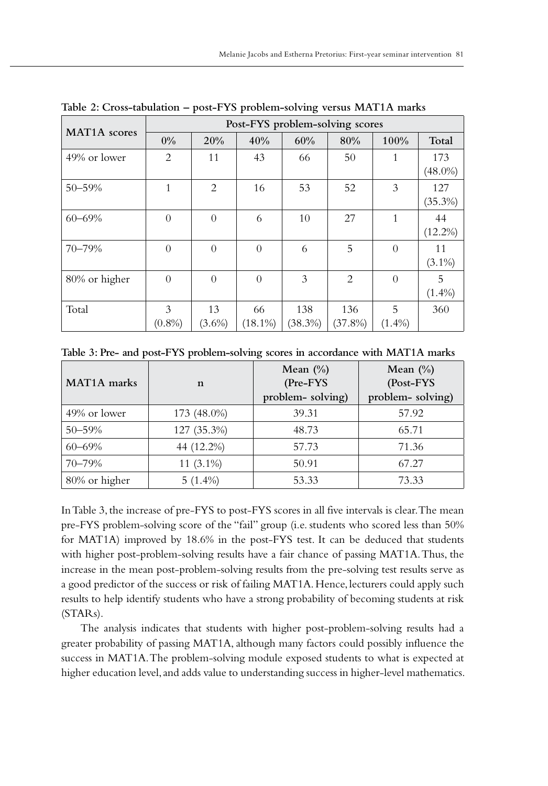| MAT <sub>1</sub> A scores | Post-FYS problem-solving scores |                |            |            |            |           |            |  |  |  |
|---------------------------|---------------------------------|----------------|------------|------------|------------|-----------|------------|--|--|--|
|                           | $0\%$                           | 20%            | 40%        | 60%        | 80%        | 100%      | Total      |  |  |  |
| 49% or lower              | $\overline{2}$                  | 11             | 43         | 66         | 50         | 1         | 173        |  |  |  |
|                           |                                 |                |            |            |            |           | $(48.0\%)$ |  |  |  |
| $50 - 59%$                | 1                               | 2              | 16         | 53         | 52         | 3         | 127        |  |  |  |
|                           |                                 |                |            |            |            |           | $(35.3\%)$ |  |  |  |
| $60 - 69\%$               | $\overline{0}$                  | $\overline{0}$ | 6          | 10         | 27         | 1         | 44         |  |  |  |
|                           |                                 |                |            |            |            |           | $(12.2\%)$ |  |  |  |
| 70-79%                    | $\theta$                        | $\Omega$       | $\Omega$   | 6          | 5          | $\Omega$  | 11         |  |  |  |
|                           |                                 |                |            |            |            |           | $(3.1\%)$  |  |  |  |
| 80% or higher             | $\Omega$                        | $\theta$       | $\Omega$   | 3          | 2          | $\Omega$  | 5          |  |  |  |
|                           |                                 |                |            |            |            |           | $(1.4\%)$  |  |  |  |
| Total                     | 3                               | 13             | 66         | 138        | 136        | 5         | 360        |  |  |  |
|                           | $(0.8\%)$                       | $(3.6\%)$      | $(18.1\%)$ | $(38.3\%)$ | $(37.8\%)$ | $(1.4\%)$ |            |  |  |  |

**Table 2: Cross-tabulation – post-FYS problem-solving versus MAT1A marks**

| Table 3: Pre- and post-FYS problem-solving scores in accordance with MAT1A marks |  |  |  |  |  |  |  |  |  |  |  |  |  |  |
|----------------------------------------------------------------------------------|--|--|--|--|--|--|--|--|--|--|--|--|--|--|
|----------------------------------------------------------------------------------|--|--|--|--|--|--|--|--|--|--|--|--|--|--|

| MAT <sub>1</sub> A marks | n            | Mean $(\% )$<br>(Pre-FYS<br>problem-solving) | Mean $(\% )$<br>(Post-FYS<br>problem-solving) |  |  |
|--------------------------|--------------|----------------------------------------------|-----------------------------------------------|--|--|
| 49% or lower             | 173 (48.0%)  | 39.31                                        | 57.92                                         |  |  |
| $50 - 59%$               | 127 (35.3%)  | 48.73                                        | 65.71                                         |  |  |
| $60 - 69\%$              | 44 (12.2%)   | 57.73                                        | 71.36                                         |  |  |
| $70 - 79%$               | 11 $(3.1\%)$ | 50.91                                        | 67.27                                         |  |  |
| 80% or higher            | $5(1.4\%)$   | 53.33                                        | 73.33                                         |  |  |

In Table 3, the increase of pre-FYS to post-FYS scores in all five intervals is clear. The mean pre-FYS problem-solving score of the "fail" group (i.e. students who scored less than 50% for MAT1A) improved by 18.6% in the post-FYS test. It can be deduced that students with higher post-problem-solving results have a fair chance of passing MAT1A. Thus, the increase in the mean post-problem-solving results from the pre-solving test results serve as a good predictor of the success or risk of failing MAT1A. Hence, lecturers could apply such results to help identify students who have a strong probability of becoming students at risk (STARs).

The analysis indicates that students with higher post-problem-solving results had a greater probability of passing MAT1A, although many factors could possibly influence the success in MAT1A. The problem-solving module exposed students to what is expected at higher education level, and adds value to understanding success in higher-level mathematics.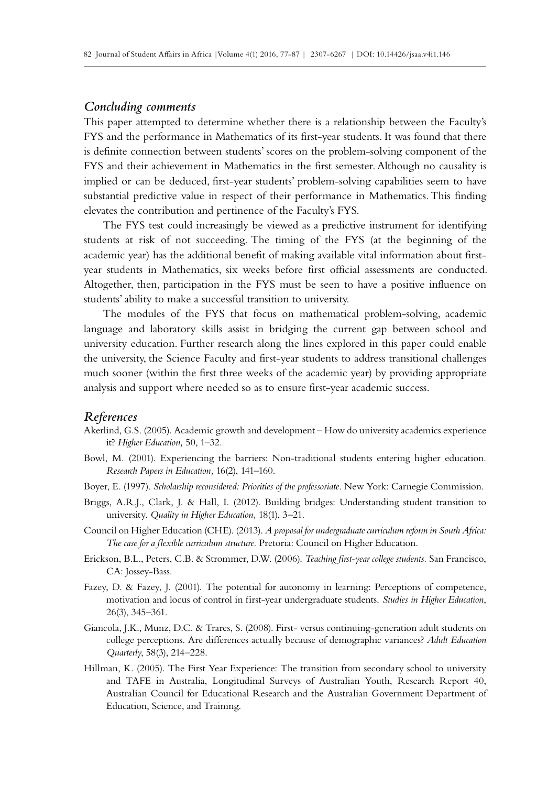#### *Concluding comments*

This paper attempted to determine whether there is a relationship between the Faculty's FYS and the performance in Mathematics of its first-year students. It was found that there is definite connection between students' scores on the problem-solving component of the FYS and their achievement in Mathematics in the first semester. Although no causality is implied or can be deduced, first-year students' problem-solving capabilities seem to have substantial predictive value in respect of their performance in Mathematics. This finding elevates the contribution and pertinence of the Faculty's FYS.

The FYS test could increasingly be viewed as a predictive instrument for identifying students at risk of not succeeding. The timing of the FYS (at the beginning of the academic year) has the additional benefit of making available vital information about firstyear students in Mathematics, six weeks before first official assessments are conducted. Altogether, then, participation in the FYS must be seen to have a positive influence on students' ability to make a successful transition to university.

The modules of the FYS that focus on mathematical problem-solving, academic language and laboratory skills assist in bridging the current gap between school and university education. Further research along the lines explored in this paper could enable the university, the Science Faculty and first-year students to address transitional challenges much sooner (within the first three weeks of the academic year) by providing appropriate analysis and support where needed so as to ensure first-year academic success.

#### *References*

- Akerlind, G.S. (2005). Academic growth and development How do university academics experience it? *Higher Education,* 50, 1–32.
- Bowl, M. (2001). Experiencing the barriers: Non-traditional students entering higher education. *Research Papers in Education,* 16(2), 141–160.
- Boyer, E. (1997). *Scholarship reconsidered: Priorities of the professoriate*. New York: Carnegie Commission.
- Briggs, A.R.J., Clark, J. & Hall, I. (2012). Building bridges: Understanding student transition to university. *Quality in Higher Education,* 18(1), 3–21.
- Council on Higher Education (CHE). (2013). *A proposal for undergraduate curriculum reform in South Africa: The case for a flexible curriculum structure.* Pretoria: Council on Higher Education.
- Erickson, B.L., Peters, C.B. & Strommer, D.W. (2006). *Teaching first-year college students.* San Francisco, CA: Jossey-Bass.
- Fazey, D. & Fazey, J. (2001). The potential for autonomy in learning: Perceptions of competence, motivation and locus of control in first-year undergraduate students. *Studies in Higher Education*, 26(3), 345–361.
- Giancola, J.K., Munz, D.C. & Trares, S. (2008). First- versus continuing-generation adult students on college perceptions. Are differences actually because of demographic variances? *Adult Education Quarterly*, 58(3), 214–228.
- Hillman, K. (2005). The First Year Experience: The transition from secondary school to university and TAFE in Australia, Longitudinal Surveys of Australian Youth, Research Report 40, Australian Council for Educational Research and the Australian Government Department of Education, Science, and Training.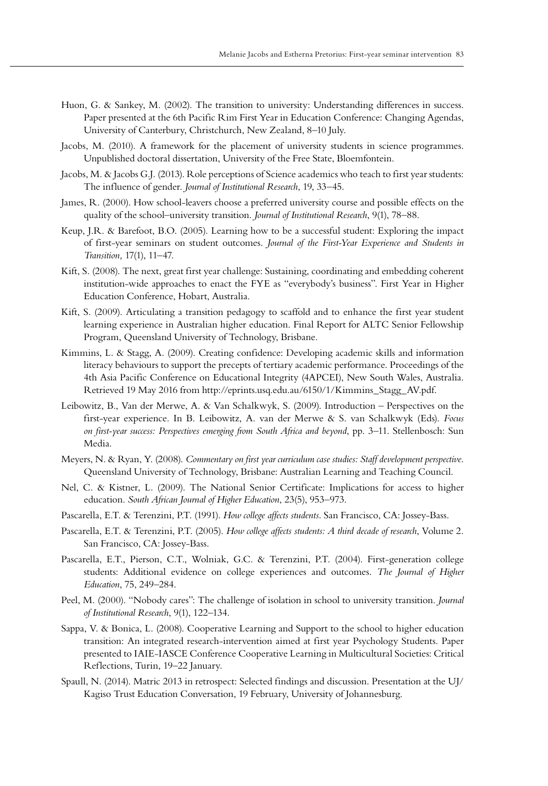- Huon, G. & Sankey, M. (2002). The transition to university: Understanding differences in success. Paper presented at the 6th Pacific Rim First Year in Education Conference: Changing Agendas, University of Canterbury, Christchurch, New Zealand, 8–10 July.
- Jacobs, M. (2010). A framework for the placement of university students in science programmes. Unpublished doctoral dissertation, University of the Free State, Bloemfontein.
- Jacobs, M. & Jacobs G.J. (2013). Role perceptions of Science academics who teach to first year students: The influence of gender. *Journal of Institutional Research*, 19, 33–45.
- James, R. (2000). How school-leavers choose a preferred university course and possible effects on the quality of the school–university transition. *Journal of Institutional Research*, 9(1), 78–88.
- Keup, J.R. & Barefoot, B.O. (2005). Learning how to be a successful student: Exploring the impact of first-year seminars on student outcomes. *Journal of the First-Year Experience and Students in Transition,* 17(1), 11–47.
- Kift, S. (2008). The next, great first year challenge: Sustaining, coordinating and embedding coherent institution-wide approaches to enact the FYE as "everybody's business". First Year in Higher Education Conference, Hobart, Australia.
- Kift, S. (2009). Articulating a transition pedagogy to scaffold and to enhance the first year student learning experience in Australian higher education. Final Report for ALTC Senior Fellowship Program, Queensland University of Technology, Brisbane.
- Kimmins, L. & Stagg, A. (2009). Creating confidence: Developing academic skills and information literacy behaviours to support the precepts of tertiary academic performance. Proceedings of the 4th Asia Pacific Conference on Educational Integrity (4APCEI), New South Wales, Australia. Retrieved 19 May 2016 from http://eprints.usq.edu.au/6150/1/Kimmins\_Stagg\_AV.pdf.
- Leibowitz, B., Van der Merwe, A. & Van Schalkwyk, S. (2009). Introduction Perspectives on the first-year experience. In B. Leibowitz, A. van der Merwe & S. van Schalkwyk (Eds). *Focus on first-year success: Perspectives emerging from South Africa and beyond*, pp. 3–11. Stellenbosch: Sun Media.
- Meyers, N. & Ryan, Y. (2008). *Commentary on first year curriculum case studies: Staff development perspective*. Queensland University of Technology, Brisbane: Australian Learning and Teaching Council.
- Nel, C. & Kistner, L. (2009). The National Senior Certificate: Implications for access to higher education. *South African Journal of Higher Education*, 23(5), 953–973.
- Pascarella, E.T. & Terenzini, P.T. (1991). *How college affects students*. San Francisco, CA: Jossey-Bass.
- Pascarella, E.T. & Terenzini, P.T. (2005). *How college affects students: A third decade of research*, Volume 2. San Francisco, CA: Jossey-Bass.
- Pascarella, E.T., Pierson, C.T., Wolniak, G.C. & Terenzini, P.T. (2004). First-generation college students: Additional evidence on college experiences and outcomes. *The Journal of Higher Education*, 75, 249–284.
- Peel, M. (2000). "Nobody cares": The challenge of isolation in school to university transition. *Journal of Institutional Research*, 9(1), 122–134.
- Sappa, V. & Bonica, L. (2008). Cooperative Learning and Support to the school to higher education transition: An integrated research-intervention aimed at first year Psychology Students. Paper presented to IAIE-IASCE Conference Cooperative Learning in Multicultural Societies: Critical Reflections, Turin, 19–22 January.
- Spaull, N. (2014). Matric 2013 in retrospect: Selected findings and discussion. Presentation at the UJ/ Kagiso Trust Education Conversation, 19 February, University of Johannesburg.